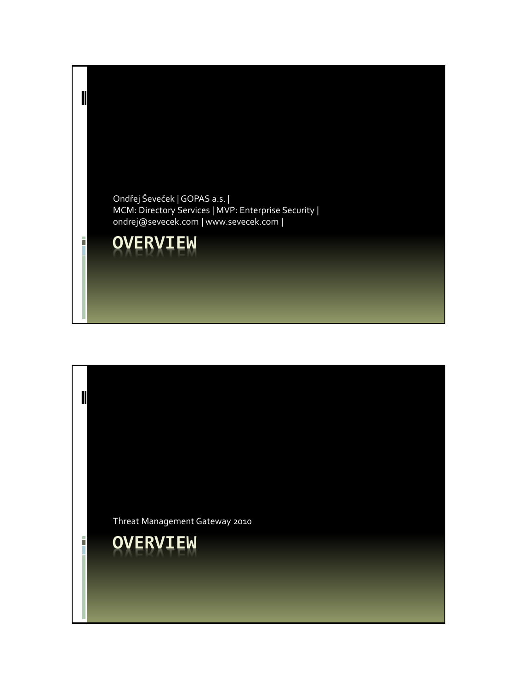

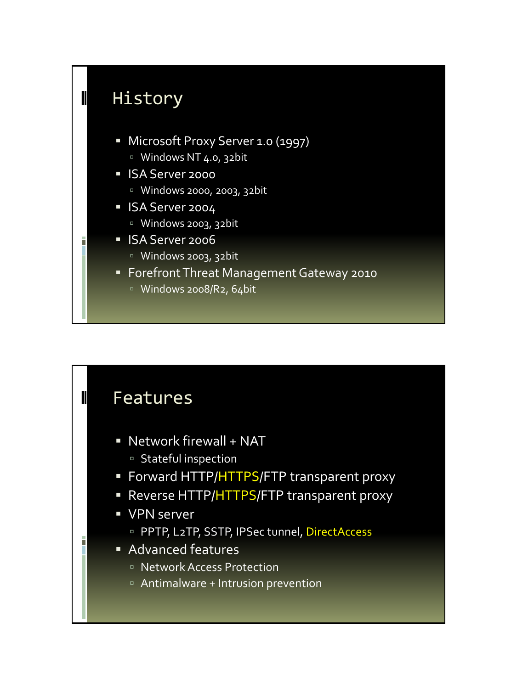

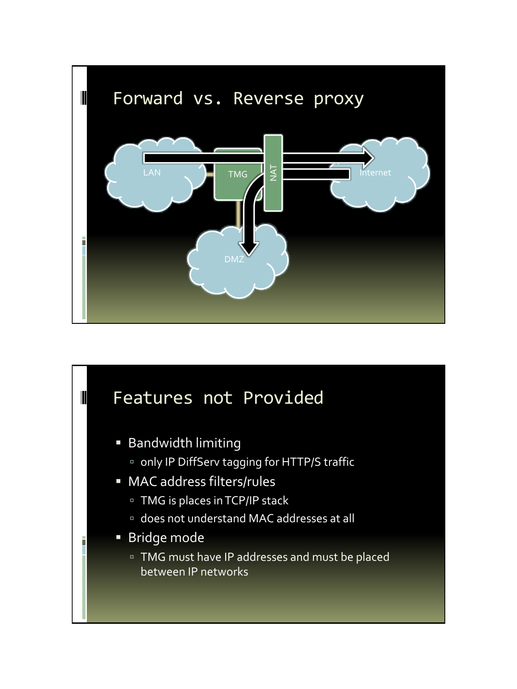

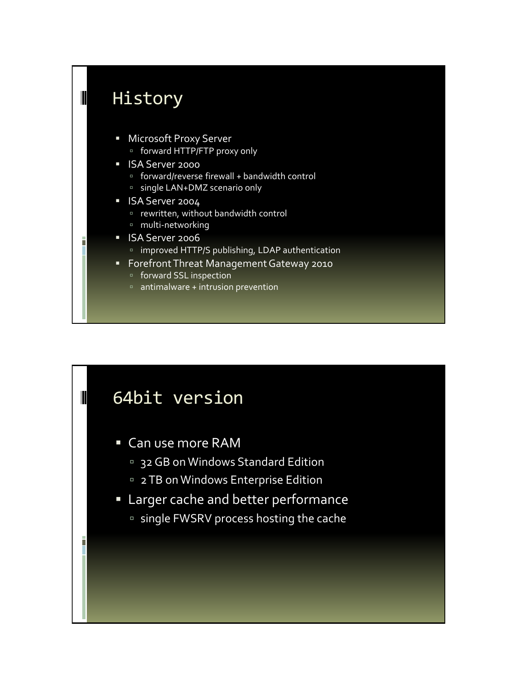

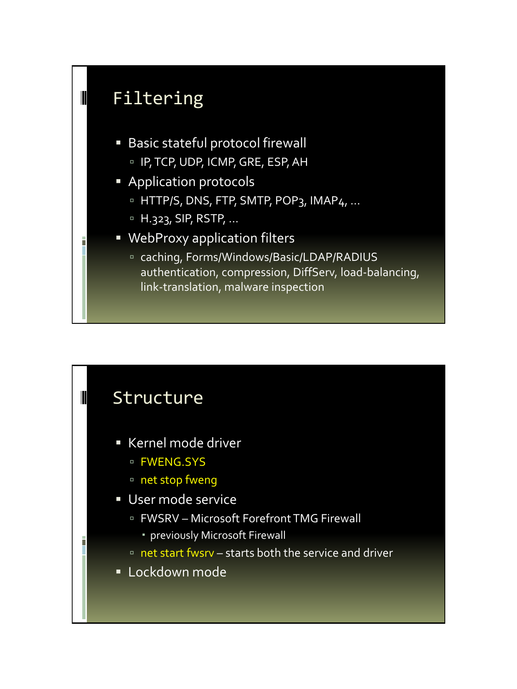

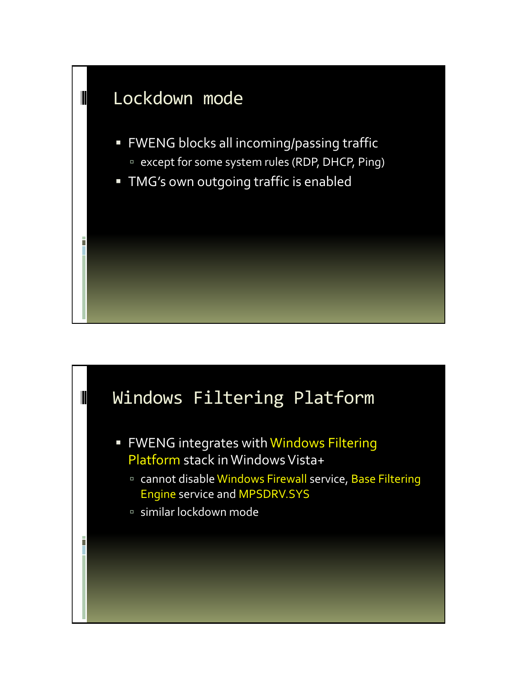

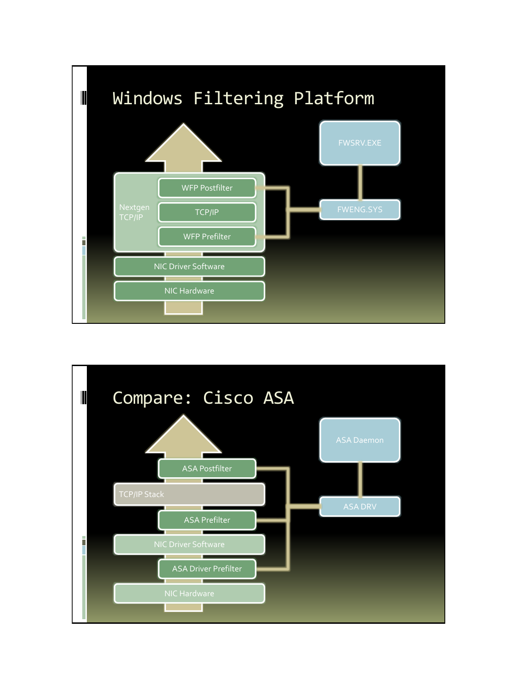

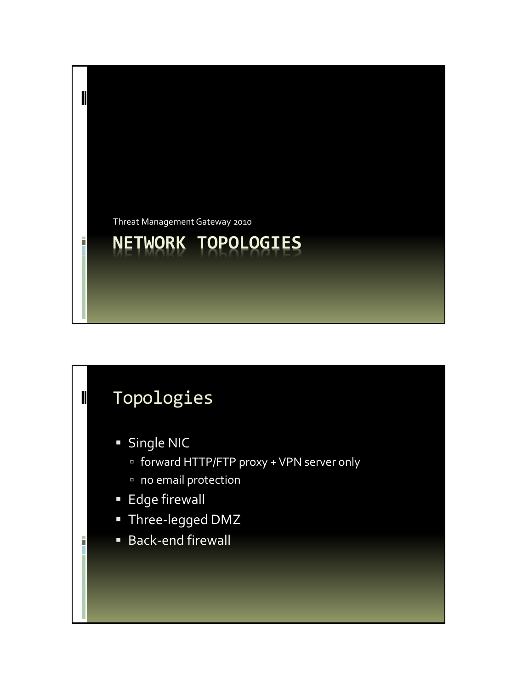

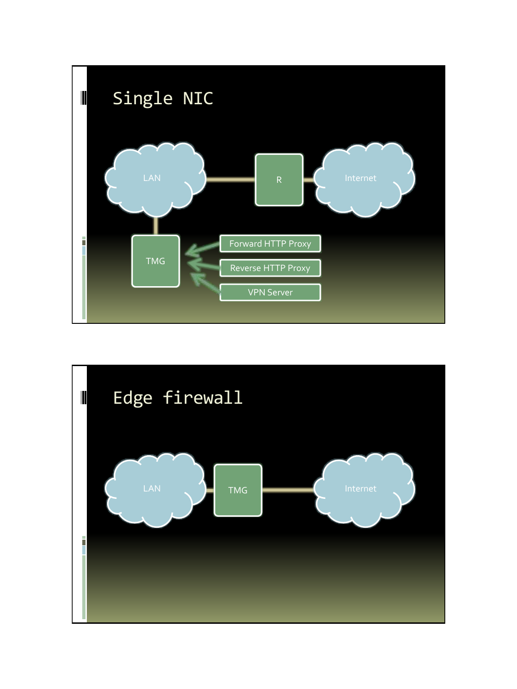

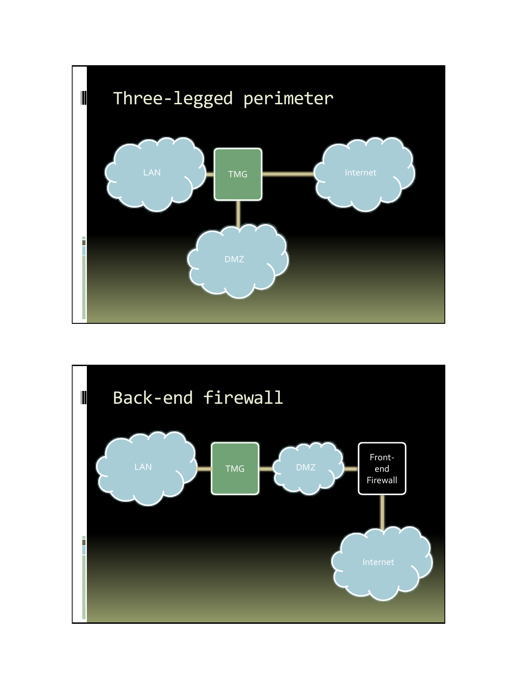

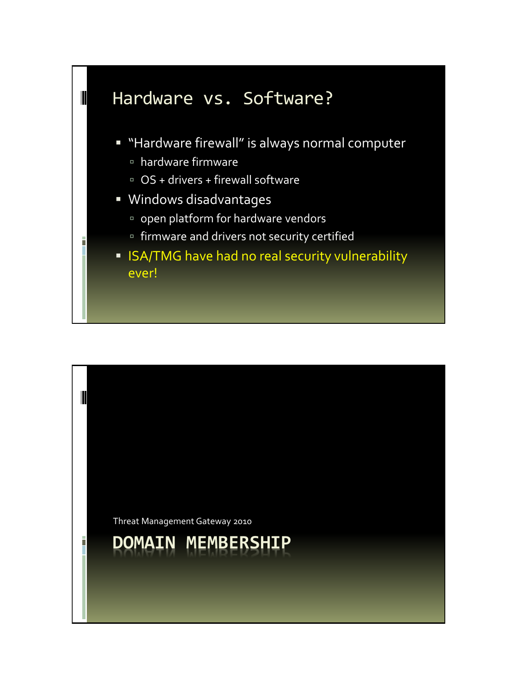

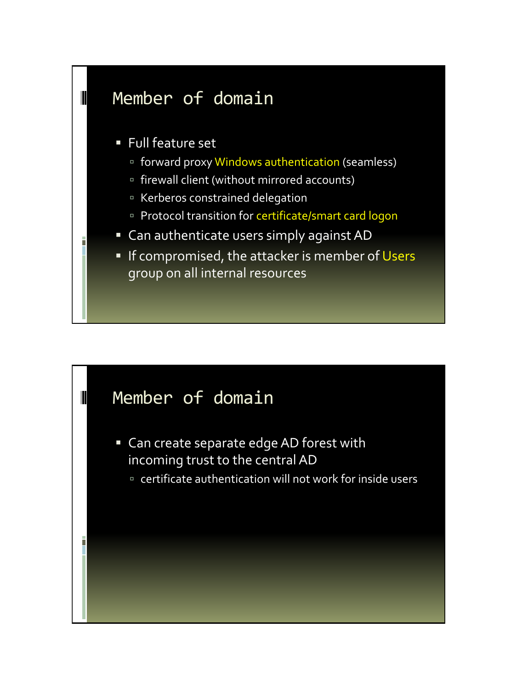## Member of domain  $\blacksquare$  Full feature set forward proxy Windows authentication (seamless) firewall client (without mirrored accounts) Kerberos constrained delegation Protocol transition for certificate/smart card logon Can authenticate users simply against AD **If compromised, the attacker is member of Users** group on all internal resources

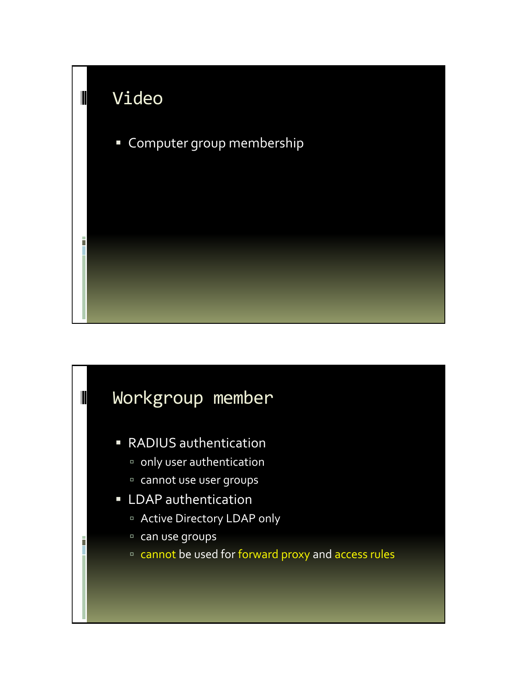

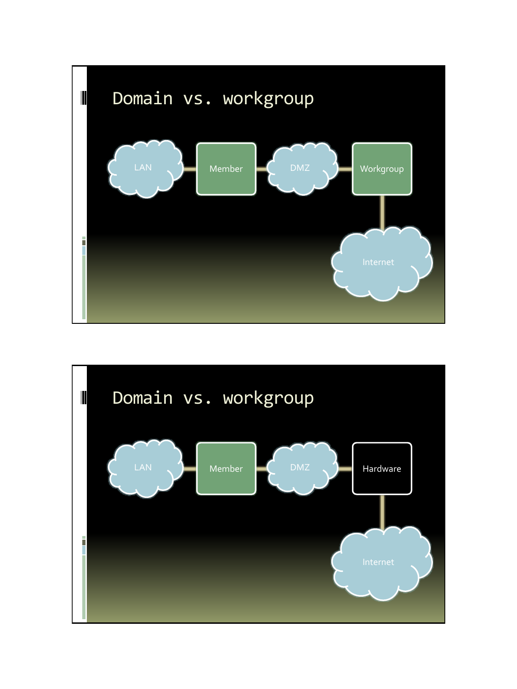

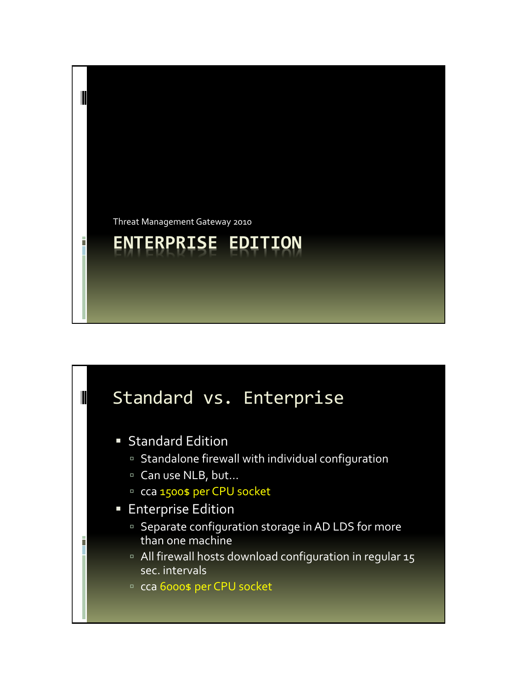

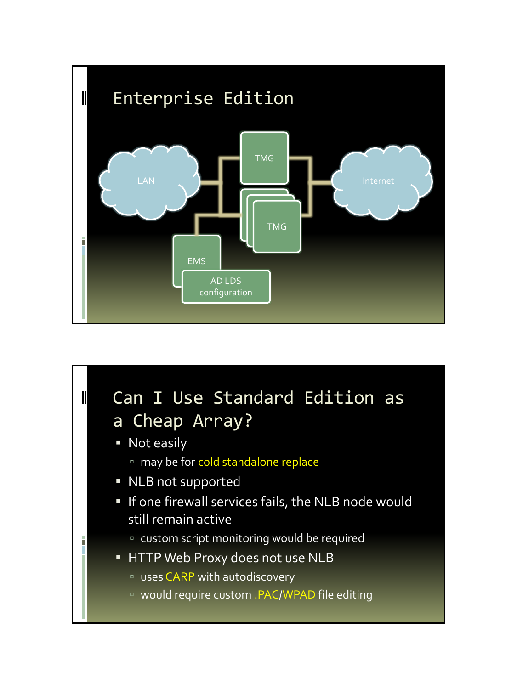